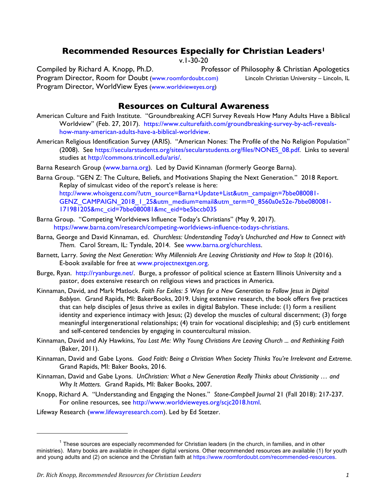## **Recommended Resources Especially for Christian Leaders1**

v.1-30-20

Compiled by Richard A. Knopp, Ph.D. Professor of Philosophy & Christian Apologetics Program Director, Room for Doubt (www.roomfordoubt.com) Lincoln Christian University – Lincoln, IL Program Director, WorldView Eyes (www.worldvieweyes.org)

### **Resources on Cultural Awareness**

- American Culture and Faith Institute. "Groundbreaking ACFI Survey Reveals How Many Adults Have a Biblical Worldview" (Feb. 27, 2017). https://www.culturefaith.com/groundbreaking-survey-by-acfi-revealshow-many-american-adults-have-a-biblical-worldview.
- American Religious Identification Survey (ARIS). "American Nones: The Profile of the No Religion Population" (2008). See https://secularstudents.org/sites/secularstudents.org/files/NONES\_08.pdf. Links to several studies at http://commons.trincoll.edu/aris/.
- Barna Research Group (www.barna.org). Led by David Kinnaman (formerly George Barna).

Barna Group. "GEN Z: The Culture, Beliefs, and Motivations Shaping the Next Generation." 2018 Report. Replay of simulcast video of the report's release is here: http://www.whoisgenz.com/?utm\_source=Barna+Update+List&utm\_campaign=7bbe080081-GENZ\_CAMPAIGN\_2018\_1\_25&utm\_medium=email&utm\_term=0\_8560a0e52e-7bbe080081-171981205&mc\_cid=7bbe080081&mc\_eid=be5bccb035

- Barna Group. "Competing Worldviews Influence Today's Christians" (May 9, 2017). https://www.barna.com/research/competing-worldviews-influence-todays-christians.
- Barna, George and David Kinnaman, ed. *Churchless: Understanding Today's Unchurched and How to Connect with Them.* Carol Stream, IL: Tyndale, 2014. See www.barna.org/churchless.
- Barnett, Larry. Saving the Next Generation: Why Millennials Are Leaving Christianity and How to Stop It (2016). E-book available for free at www.projectnextgen.org.
- Burge, Ryan. http://ryanburge.net/. Burge, a professor of political science at Eastern Illinois University and a pastor, does extensive research on religious views and practices in America.
- Kinnaman, David, and Mark Matlock. *Faith For Exiles: 5 Ways for a New Generation to Follow Jesus in Digital Bablyon.* Grand Rapids, MI: BakerBooks, 2019. Using extensive research, the book offers five practices that can help disciples of Jesus thrive as exiles in digital Babylon. These include: (1) form a resilient identity and experience intimacy with Jesus; (2) develop the muscles of cultural discernment; (3) forge meaningful intergenerational relationships; (4) train for vocational discipleship; and (5) curb entitlement and self-centered tendencies by engaging in countercultural mission.
- Kinnaman, David and Aly Hawkins, *You Lost Me: Why Young Christians Are Leaving Church ... and Rethinking Faith* (Baker, 2011).
- Kinnaman, David and Gabe Lyons. *Good Faith: Being a Christian When Society Thinks You're Irrelevant and Extreme.* Grand Rapids, MI: Baker Books, 2016.
- Kinnaman, David and Gabe Lyons. *UnChristian: What a New Generation Really Thinks about Christianity … and Why It Matters.* Grand Rapids, MI: Baker Books, 2007.
- Knopp, Richard A. "Understanding and Engaging the Nones." *Stone-Campbell Journal* 21 (Fall 2018): 217-237. For online resources, see http://www.worldvieweyes.org/scjc2018.html.
- Lifeway Research (www.lifewayresearch.com). Led by Ed Stetzer.

 $\overline{a}$ 

 $1$  These sources are especially recommended for Christian leaders (in the church, in families, and in other ministries). Many books are available in cheaper digital versions. Other recommended resources are available (1) for youth and young adults and (2) on science and the Christian faith at https://www.roomfordoubt.com/recommended-resources.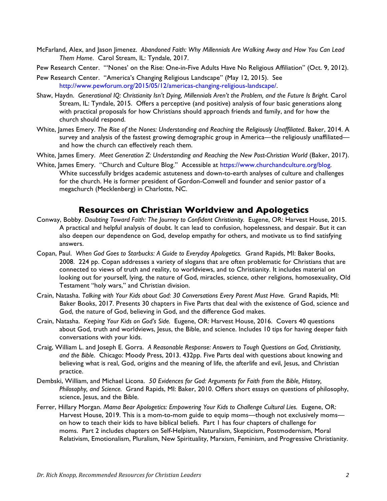- McFarland, Alex, and Jason Jimenez. *Abandoned Faith: Why Millennials Are Walking Away and How You Can Lead Them Home*. Carol Stream, IL: Tyndale, 2017.
- Pew Research Center. "'Nones' on the Rise: One-in-Five Adults Have No Religious Affiliation" (Oct. 9, 2012).
- Pew Research Center. "America's Changing Religious Landscape" (May 12, 2015). See http://www.pewforum.org/2015/05/12/americas-changing-religious-landscape/.
- Shaw, Haydn. *Generational IQ: Christianity Isn't Dying, Millennials Aren't the Problem, and the Future Is Bright.* Carol Stream, IL: Tyndale, 2015. Offers a perceptive (and positive) analysis of four basic generations along with practical proposals for how Christians should approach friends and family, and for how the church should respond.
- White, James Emery. The Rise of the Nones: Understanding and Reaching the Religiously Unaffiliated. Baker, 2014. A survey and analysis of the fastest growing demographic group in America—the religiously unaffiliated and how the church can effectively reach them.
- White, James Emery. *Meet Generation Z: Understanding and Reaching the New Post-Christian World (Baker, 2017).*
- White, James Emery. "Church and Culture Blog." Accessible at https://www.churchandculture.org/blog. White successfully bridges academic astuteness and down-to-earth analyses of culture and challenges for the church. He is former president of Gordon-Conwell and founder and senior pastor of a megachurch (Mecklenberg) in Charlotte, NC.

### **Resources on Christian Worldview and Apologetics**

- Conway, Bobby. *Doubting Toward Faith: The Journey to Confident Christianity.* Eugene, OR: Harvest House, 2015. A practical and helpful analysis of doubt. It can lead to confusion, hopelessness, and despair. But it can also deepen our dependence on God, develop empathy for others, and motivate us to find satisfying answers.
- Copan, Paul. *When God Goes to Starbucks: A Guide to Everyday Apologetics.* Grand Rapids, MI: Baker Books, 2008. 224 pp. Copan addresses a variety of slogans that are often problematic for Christians that are connected to views of truth and reality, to worldviews, and to Christianity. It includes material on looking out for yourself, lying, the nature of God, miracles, science, other religions, homosexuality, Old Testament "holy wars," and Christian division.
- Crain, Natasha. *Talking with Your Kids about God: 30 Conversations Every Parent Must Have.* Grand Rapids, MI: Baker Books, 2017. Presents 30 chapters in Five Parts that deal with the existence of God, science and God, the nature of God, believing in God, and the difference God makes.
- Crain, Natasha. *Keeping Your Kids on God's Side.* Eugene, OR: Harvest House, 2016. Covers 40 questions about God, truth and worldviews, Jesus, the Bible, and science. Includes 10 tips for having deeper faith conversations with your kids.
- Craig, William L. and Joseph E. Gorra. *A Reasonable Response: Answers to Tough Questions on God, Christianity, and the Bible*. Chicago: Moody Press, 2013. 432pp. Five Parts deal with questions about knowing and believing what is real, God, origins and the meaning of life, the afterlife and evil, Jesus, and Christian practice.
- Dembski, William, and Michael Licona. *50 Evidences for God: Arguments for Faith from the Bible, History, Philosophy, and Science.* Grand Rapids, MI: Baker, 2010. Offers short essays on questions of philosophy, science, Jesus, and the Bible.
- Ferrer, Hillary Morgan. *Mama Bear Apologetics: Empowering Your Kids to Challenge Cultural Lies.* Eugene, OR: Harvest House, 2019. This is a mom-to-mom guide to equip moms—though not exclusively moms on how to teach their kids to have biblical beliefs. Part 1 has four chapters of challenge for moms. Part 2 includes chapters on Self-Helpism, Naturalism, Skepticism, Postmodernism, Moral Relativism, Emotionalism, Pluralism, New Spirituality, Marxism, Feminism, and Progressive Christianity.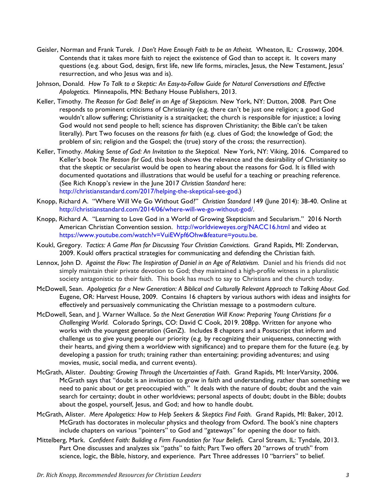- Geisler, Norman and Frank Turek. *I Don't Have Enough Faith to be an Atheist.* Wheaton, IL: Crossway, 2004. Contends that it takes more faith to reject the existence of God than to accept it. It covers many questions (e.g. about God, design, first life, new life forms, miracles, Jesus, the New Testament, Jesus' resurrection, and who Jesus was and is).
- Johnson, Donald. *How To Talk to a Skeptic: An Easy-to-Follow Guide for Natural Conversations and Effective Apologetics.* Minneapolis, MN: Bethany House Publishers, 2013.
- Keller, Timothy. *The Reason for God: Belief in an Age of Skepticism.* New York, NY: Dutton, 2008. Part One responds to prominent criticisms of Christianity (e.g. there can't be just one religion; a good God wouldn't allow suffering; Christianity is a straitjacket; the church is responsible for injustice; a loving God would not send people to hell; science has disproven Christianity; the Bible can't be taken literally). Part Two focuses on the reasons *for* faith (e.g. clues of God; the knowledge of God; the problem of sin; religion and the Gospel; the (true) story of the cross; the resurrection).
- Keller, Timothy. *Making Sense of God: An Invitation to the Skeptical.* New York, NY: Viking, 2016. Compared to Keller's book *The Reason for God*, this book shows the relevance and the desirability of Christianity so that the skeptic or secularist would be open to hearing about the reasons for God. It is filled with documented quotations and illustrations that would be useful for a teaching or preaching reference. (See Rich Knopp's review in the June 2017 *Christian Standard* here: http://christianstandard.com/2017/helping-the-skeptical-see-god.)
- Knopp, Richard A. "Where Will We Go Without God?" *Christian Standard* 149 (June 2014): 38-40. Online at http://christianstandard.com/2014/06/where-will-we-go-without-god/.
- Knopp, Richard A. "Learning to Love God in a World of Growing Skepticism and Secularism." 2016 North American Christian Convention session. http://worldvieweyes.org/NACC16.html and video at https://www.youtube.com/watch?v=VuiEWpf6Ohw&feature=youtu.be.
- Koukl, Gregory. *Tactics: A Game Plan for Discussing Your Christian Convictions.* Grand Rapids, MI: Zondervan, 2009. Koukl offers practical strategies for communicating and defending the Christian faith.
- Lennox, John D. *Against the Flow: The Inspiration of Daniel in an Age of Relativism.* Daniel and his friends did not simply maintain their private devotion to God; they maintained a high-profile witness in a pluralistic society antagonistic to their faith. This book has much to say to Christians and the church today.
- McDowell, Sean. *Apologetics for a New Generation: A Biblical and Culturally Relevant Approach to Talking About God.* Eugene, OR: Harvest House, 2009. Contains 16 chapters by various authors with ideas and insights for effectively and persuasively communicating the Christian message to a postmodern culture.
- McDowell, Sean, and J. Warner Wallace. *So the Next Generation Will Know: Preparing Young Christians for a Challenging World.* Colorado Springs, CO: David C Cook, 2019. 208pp. Written for anyone who works with the youngest generation (GenZ). Includes 8 chapters and a Postscript that inform and challenge us to give young people our priority (e.g. by recognizing their uniqueness, connecting with their hearts, and giving them a worldview with significance) and to prepare them for the future (e.g. by developing a passion for truth; training rather than entertaining; providing adventures; and using movies, music, social media, and current events).
- McGrath, Alister. *Doubting: Growing Through the Uncertainties of Faith*. Grand Rapids, MI: InterVarsity, 2006. McGrath says that "doubt is an invitation to grow in faith and understanding, rather than something we need to panic about or get preoccupied with." It deals with the nature of doubt; doubt and the vain search for certainty; doubt in other worldviews; personal aspects of doubt; doubt in the Bible; doubts about the gospel, yourself, Jesus, and God; and how to handle doubt.
- McGrath, Alister. *Mere Apologetics: How to Help Seekers & Skeptics Find Faith.* Grand Rapids, MI: Baker, 2012. McGrath has doctorates in molecular physics and theology from Oxford. The book's nine chapters include chapters on various "pointers" to God and "gateways" for opening the door to faith.
- Mittelberg, Mark. *Confident Faith: Building a Firm Foundation for Your Beliefs.* Carol Stream, IL: Tyndale, 2013. Part One discusses and analyzes six "paths" to faith; Part Two offers 20 "arrows of truth" from science, logic, the Bible, history, and experience. Part Three addresses 10 "barriers" to belief.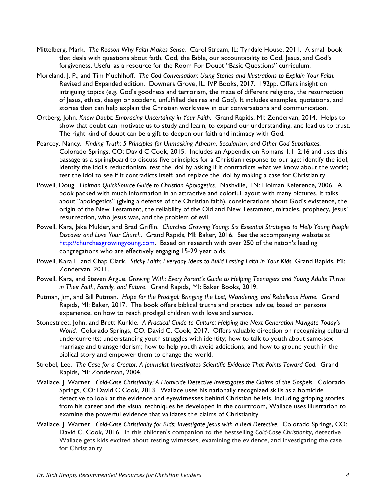- Mittelberg, Mark. *The Reason Why Faith Makes Sense.* Carol Stream, IL: Tyndale House, 2011. A small book that deals with questions about faith, God, the Bible, our accountability to God, Jesus, and God's forgiveness. Useful as a resource for the Room For Doubt "Basic Questions" curriculum.
- Moreland, J. P., and Tim Muehlhoff. *The God Conversation: Using Stories and Illustrations to Explain Your Faith.* Revised and Expanded edition. Downers Grove, IL: IVP Books, 2017. 192pp. Offers insight on intriguing topics (e.g. God's goodness and terrorism, the maze of different religions, the resurrection of Jesus, ethics, design or accident, unfulfilled desires and God). It includes examples, quotations, and stories than can help explain the Christian worldview in our conversations and communication.
- Ortberg, John. *Know Doubt: Embracing Uncertainty in Your Faith.* Grand Rapids, MI: Zondervan, 2014. Helps to show that doubt can motivate us to study and learn, to expand our understanding, and lead us to trust. The right kind of doubt can be a gift to deepen our faith and intimacy with God.
- Pearcey, Nancy. *Finding Truth: 5 Principles for Unmasking Atheism, Secularism, and Other God Substitutes.* Colorado Springs, CO: David C Cook, 2015. Includes an Appendix on Romans 1:1–2:16 and uses this passage as a springboard to discuss five principles for a Christian response to our age: identify the idol; identify the idol's reductionism, test the idol by asking if it contradicts what we know about the world; test the idol to see if it contradicts itself; and replace the idol by making a case for Christianity.
- Powell, Doug. *Holman QuickSource Guide to Christian Apologetics.* Nashville, TN: Holman Reference, 2006. A book packed with much information in an attractive and colorful layout with many pictures. It talks about "apologetics" (giving a defense of the Christian faith), considerations about God's existence, the origin of the New Testament, the reliability of the Old and New Testament, miracles, prophecy, Jesus' resurrection, who Jesus was, and the problem of evil.
- Powell, Kara, Jake Mulder, and Brad Griffin. *Churches Growing Young: Six Essential Strategies to Help Young People Discover and Love Your Church.* Grand Rapids, MI: Baker, 2016. See the accompanying website at http://churchesgrowingyoung.com. Based on research with over 250 of the nation's leading congregations who are effectively engaging 15-29 year olds.
- Powell, Kara E. and Chap Clark. *Sticky Faith: Everyday Ideas to Build Lasting Faith in Your Kids.* Grand Rapids, MI: Zondervan, 2011.
- Powell, Kara, and Steven Argue. *Growing With: Every Parent's Guide to Helping Teenagers and Young Adults Thrive in Their Faith, Family, and Future*. Grand Rapids, MI: Baker Books, 2019.
- Putman, Jim, and Bill Putman. *Hope for the Prodigal: Bringing the Lost, Wandering, and Rebellious Home.* Grand Rapids, MI: Baker, 2017. The book offers biblical truths and practical advice, based on personal experience, on how to reach prodigal children with love and service.
- Stonestreet, John, and Brett Kunkle. *A Practical Guide to Culture: Helping the Next Generation Navigate Today's World.* Colorado Springs, CO: David C. Cook, 2017. Offers valuable direction on recognizing cultural undercurrents; understanding youth struggles with identity; how to talk to youth about same-sex marriage and transgenderism; how to help youth avoid addictions; and how to ground youth in the biblical story and empower them to change the world.
- Strobel, Lee. *The Case for a Creator: A Journalist Investigates Scientific Evidence That Points Toward God*. Grand Rapids, MI: Zondervan, 2004.
- Wallace, J. Warner. *Cold-Case Christianity: A Homicide Detective Investigates the Claims of the Gospels*. Colorado Springs, CO: David C Cook, 2013. Wallace uses his nationally recognized skills as a homicide detective to look at the evidence and eyewitnesses behind Christian beliefs. Including gripping stories from his career and the visual techniques he developed in the courtroom, Wallace uses illustration to examine the powerful evidence that validates the claims of Christianity.
- Wallace, J. Warner. *Cold-Case Christianity for Kids: Investigate Jesus with a Real Detective.* Colorado Springs, CO: David C. Cook, 2016. In this children's companion to the bestselling *Cold-Case Christianity*, detective Wallace gets kids excited about testing witnesses, examining the evidence, and investigating the case for Christianity.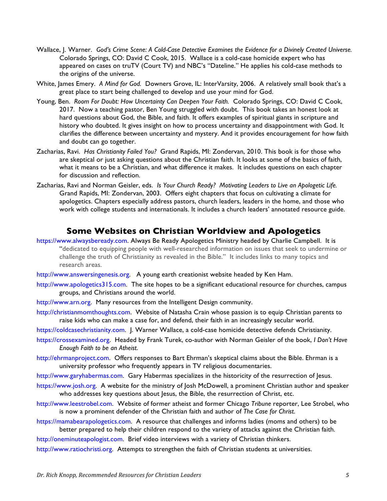- Wallace, J. Warner. *God's Crime Scene: A Cold-Case Detective Examines the Evidence for a Divinely Created Universe.*  Colorado Springs, CO: David C Cook, 2015. Wallace is a cold-case homicide expert who has appeared on cases on truTV (Court TV) and NBC's "Dateline." He applies his cold-case methods to the origins of the universe.
- White, James Emery. *A Mind for God.* Downers Grove, IL: InterVarsity, 2006. A relatively small book that's a great place to start being challenged to develop and use your mind for God.
- Young, Ben. *Room For Doubt: How Uncertainty Can Deepen Your Faith.* Colorado Springs, CO: David C Cook, 2017. Now a teaching pastor, Ben Young struggled with doubt. This book takes an honest look at hard questions about God, the Bible, and faith. It offers examples of spiritual giants in scripture and history who doubted. It gives insight on how to process uncertainty and disappointment with God. It clarifies the difference between uncertainty and mystery. And it provides encouragement for how faith and doubt can go together.
- Zacharias, Ravi. *Has Christianity Failed You?* Grand Rapids, MI: Zondervan, 2010. This book is for those who are skeptical or just asking questions about the Christian faith. It looks at some of the basics of faith, what it means to be a Christian, and what difference it makes. It includes questions on each chapter for discussion and reflection.
- Zacharias, Ravi and Norman Geisler, eds. *Is Your Church Ready? Motivating Leaders to Live an Apologetic Life.* Grand Rapids, MI: Zondervan, 2003. Offers eight chapters that focus on cultivating a climate for apologetics. Chapters especially address pastors, church leaders, leaders in the home, and those who work with college students and internationals. It includes a church leaders' annotated resource guide.

#### **Some Websites on Christian Worldview and Apologetics**

- https://www.alwaysbeready.com. Always Be Ready Apologetics Ministry headed by Charlie Campbell. It is "dedicated to equipping people with well-researched information on issues that seek to undermine or challenge the truth of Christianity as revealed in the Bible." It includes links to many topics and research areas.
- http://www.answersingenesis.org. A young earth creationist website headed by Ken Ham.
- http://www.apologetics315.com. The site hopes to be a significant educational resource for churches, campus groups, and Christians around the world.
- http://www.arn.org. Many resources from the Intelligent Design community.
- http://christianmomthoughts.com. Website of Natasha Crain whose passion is to equip Christian parents to raise kids who can make a case for, and defend, their faith in an increasingly secular world.

https://coldcasechristianity.com. J. Warner Wallace, a cold-case homicide detective defends Christianity.

- https://crossexamined.org. Headed by Frank Turek, co-author with Norman Geisler of the book, *I Don't Have Enough Faith to be an Atheist*.
- http://ehrmanproject.com. Offers responses to Bart Ehrman's skeptical claims about the Bible. Ehrman is a university professor who frequently appears in TV religious documentaries.
- http://www.garyhabermas.com. Gary Habermas specializes in the historicity of the resurrection of Jesus.
- https://www.josh.org. A website for the ministry of Josh McDowell, a prominent Christian author and speaker who addresses key questions about Jesus, the Bible, the resurrection of Christ, etc.
- http://www.leestrobel.com. Website of former atheist and former Chicago *Tribune* reporter, Lee Strobel, who is now a prominent defender of the Christian faith and author of *The Case for Christ*.
- https://mamabearapologetics.com. A resource that challenges and informs ladies (moms and others) to be better prepared to help their children respond to the variety of attacks against the Christian faith.
- http://oneminuteapologist.com. Brief video interviews with a variety of Christian thinkers.
- http://www.ratiochristi.org. Attempts to strengthen the faith of Christian students at universities.